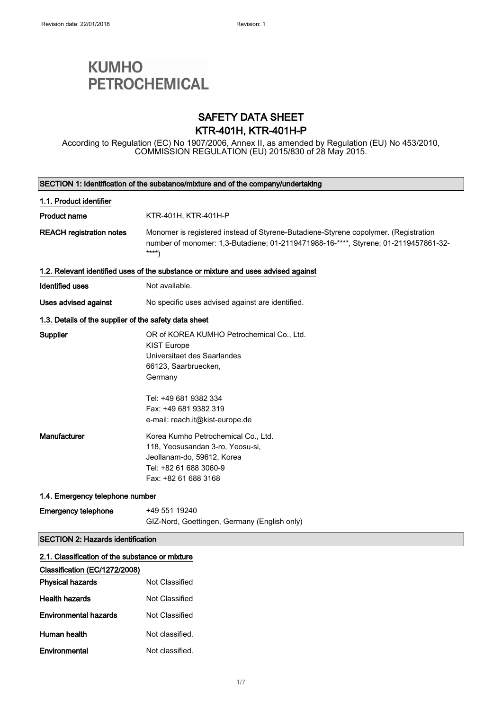# **KUMHO PETROCHEMICAL**

### SAFETY DATA SHEET KTR-401H, KTR-401H-P

According to Regulation (EC) No 1907/2006, Annex II, as amended by Regulation (EU) No 453/2010, COMMISSION REGULATION (EU) 2015/830 of 28 May 2015.

|                                                       | SECTION 1: Identification of the substance/mixture and of the company/undertaking                                                                                                   |  |  |
|-------------------------------------------------------|-------------------------------------------------------------------------------------------------------------------------------------------------------------------------------------|--|--|
| 1.1. Product identifier                               |                                                                                                                                                                                     |  |  |
| <b>Product name</b>                                   | KTR-401H, KTR-401H-P                                                                                                                                                                |  |  |
| <b>REACH registration notes</b>                       | Monomer is registered instead of Styrene-Butadiene-Styrene copolymer. (Registration<br>number of monomer: 1,3-Butadiene; 01-2119471988-16-****, Styrene; 01-2119457861-32-<br>$***$ |  |  |
|                                                       | 1.2. Relevant identified uses of the substance or mixture and uses advised against                                                                                                  |  |  |
| <b>Identified uses</b>                                | Not available.                                                                                                                                                                      |  |  |
| Uses advised against                                  | No specific uses advised against are identified.                                                                                                                                    |  |  |
| 1.3. Details of the supplier of the safety data sheet |                                                                                                                                                                                     |  |  |
| Supplier                                              | OR of KOREA KUMHO Petrochemical Co., Ltd.<br><b>KIST Europe</b><br>Universitaet des Saarlandes<br>66123, Saarbruecken,<br>Germany                                                   |  |  |
|                                                       | Tel: +49 681 9382 334<br>Fax: +49 681 9382 319<br>e-mail: reach.it@kist-europe.de                                                                                                   |  |  |
| Manufacturer                                          | Korea Kumho Petrochemical Co., Ltd.<br>118, Yeosusandan 3-ro, Yeosu-si,<br>Jeollanam-do, 59612, Korea<br>Tel: +82 61 688 3060-9<br>Fax: +82 61 688 3168                             |  |  |
| 1.4. Emergency telephone number                       |                                                                                                                                                                                     |  |  |
| <b>Emergency telephone</b>                            | +49 551 19240<br>GIZ-Nord, Goettingen, Germany (English only)                                                                                                                       |  |  |
| <b>SECTION 2: Hazards identification</b>              |                                                                                                                                                                                     |  |  |
| 2.1. Classification of the substance or mixture       |                                                                                                                                                                                     |  |  |
| Classification (EC/1272/2008)                         |                                                                                                                                                                                     |  |  |
| <b>Physical hazards</b>                               | Not Classified                                                                                                                                                                      |  |  |
| <b>Health hazards</b>                                 | <b>Not Classified</b>                                                                                                                                                               |  |  |
| <b>Environmental hazards</b>                          | Not Classified                                                                                                                                                                      |  |  |
| Human health                                          | Not classified.                                                                                                                                                                     |  |  |
| Environmental                                         | Not classified.                                                                                                                                                                     |  |  |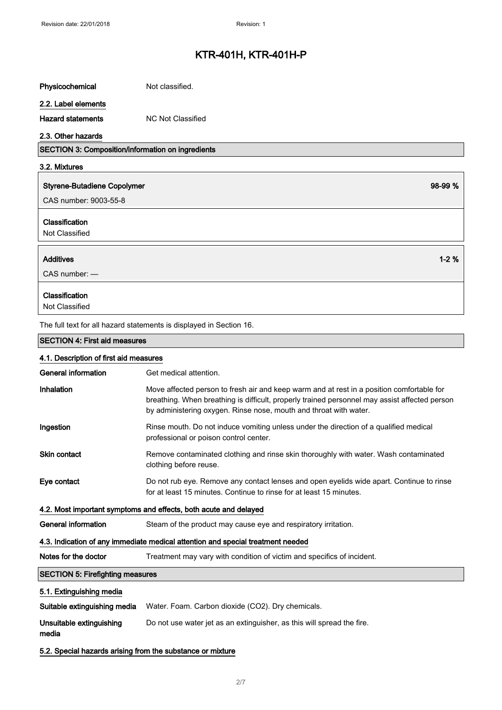| Physicochemical                                            | Not classified.                                                                                                                                                                                                                                                 |
|------------------------------------------------------------|-----------------------------------------------------------------------------------------------------------------------------------------------------------------------------------------------------------------------------------------------------------------|
| 2.2. Label elements                                        |                                                                                                                                                                                                                                                                 |
| <b>Hazard statements</b>                                   | <b>NC Not Classified</b>                                                                                                                                                                                                                                        |
| 2.3. Other hazards                                         |                                                                                                                                                                                                                                                                 |
| SECTION 3: Composition/information on ingredients          |                                                                                                                                                                                                                                                                 |
| 3.2. Mixtures                                              |                                                                                                                                                                                                                                                                 |
| <b>Styrene-Butadiene Copolymer</b>                         | 98-99 %                                                                                                                                                                                                                                                         |
| CAS number: 9003-55-8                                      |                                                                                                                                                                                                                                                                 |
| Classification<br>Not Classified                           |                                                                                                                                                                                                                                                                 |
| Additives                                                  | $1 - 2%$                                                                                                                                                                                                                                                        |
| $CAS$ number: $-$                                          |                                                                                                                                                                                                                                                                 |
| Classification<br>Not Classified                           |                                                                                                                                                                                                                                                                 |
|                                                            | The full text for all hazard statements is displayed in Section 16.                                                                                                                                                                                             |
| <b>SECTION 4: First aid measures</b>                       |                                                                                                                                                                                                                                                                 |
| 4.1. Description of first aid measures                     |                                                                                                                                                                                                                                                                 |
| General information                                        | Get medical attention.                                                                                                                                                                                                                                          |
| Inhalation                                                 | Move affected person to fresh air and keep warm and at rest in a position comfortable for<br>breathing. When breathing is difficult, properly trained personnel may assist affected person<br>by administering oxygen. Rinse nose, mouth and throat with water. |
| Ingestion                                                  | Rinse mouth. Do not induce vomiting unless under the direction of a qualified medical<br>professional or poison control center.                                                                                                                                 |
| Skin contact                                               | Remove contaminated clothing and rinse skin thoroughly with water. Wash contaminated<br>clothing before reuse.                                                                                                                                                  |
| Eye contact                                                | Do not rub eye. Remove any contact lenses and open eyelids wide apart. Continue to rinse<br>for at least 15 minutes. Continue to rinse for at least 15 minutes.                                                                                                 |
|                                                            | 4.2. Most important symptoms and effects, both acute and delayed                                                                                                                                                                                                |
| <b>General information</b>                                 | Steam of the product may cause eye and respiratory irritation.                                                                                                                                                                                                  |
|                                                            | 4.3. Indication of any immediate medical attention and special treatment needed                                                                                                                                                                                 |
| Notes for the doctor                                       | Treatment may vary with condition of victim and specifics of incident.                                                                                                                                                                                          |
| <b>SECTION 5: Firefighting measures</b>                    |                                                                                                                                                                                                                                                                 |
| 5.1. Extinguishing media                                   |                                                                                                                                                                                                                                                                 |
| Suitable extinguishing media                               | Water. Foam. Carbon dioxide (CO2). Dry chemicals.                                                                                                                                                                                                               |
| Unsuitable extinguishing<br>media                          | Do not use water jet as an extinguisher, as this will spread the fire.                                                                                                                                                                                          |
| 5.2. Special hazards arising from the substance or mixture |                                                                                                                                                                                                                                                                 |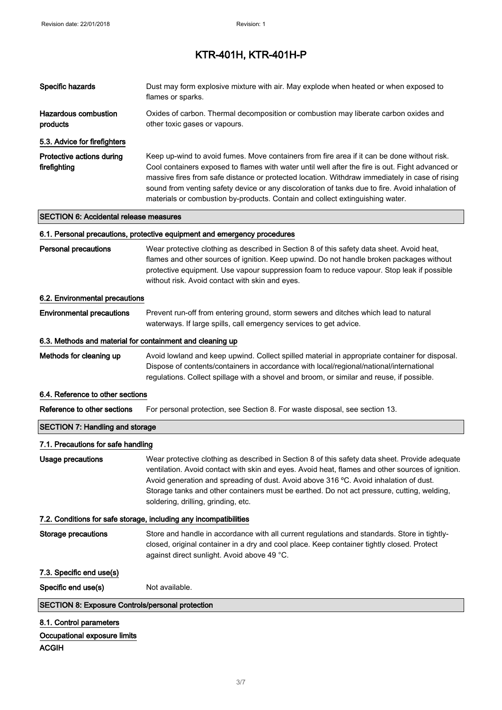| Specific hazards                                          | Dust may form explosive mixture with air. May explode when heated or when exposed to<br>flames or sparks.                                                                                                                                                                                                                                                                                                                                                                             |
|-----------------------------------------------------------|---------------------------------------------------------------------------------------------------------------------------------------------------------------------------------------------------------------------------------------------------------------------------------------------------------------------------------------------------------------------------------------------------------------------------------------------------------------------------------------|
| <b>Hazardous combustion</b><br>products                   | Oxides of carbon. Thermal decomposition or combustion may liberate carbon oxides and<br>other toxic gases or vapours.                                                                                                                                                                                                                                                                                                                                                                 |
| 5.3. Advice for firefighters                              |                                                                                                                                                                                                                                                                                                                                                                                                                                                                                       |
| Protective actions during<br>firefighting                 | Keep up-wind to avoid fumes. Move containers from fire area if it can be done without risk.<br>Cool containers exposed to flames with water until well after the fire is out. Fight advanced or<br>massive fires from safe distance or protected location. Withdraw immediately in case of rising<br>sound from venting safety device or any discoloration of tanks due to fire. Avoid inhalation of<br>materials or combustion by-products. Contain and collect extinguishing water. |
| <b>SECTION 6: Accidental release measures</b>             |                                                                                                                                                                                                                                                                                                                                                                                                                                                                                       |
|                                                           | 6.1. Personal precautions, protective equipment and emergency procedures                                                                                                                                                                                                                                                                                                                                                                                                              |
| <b>Personal precautions</b>                               | Wear protective clothing as described in Section 8 of this safety data sheet. Avoid heat,<br>flames and other sources of ignition. Keep upwind. Do not handle broken packages without<br>protective equipment. Use vapour suppression foam to reduce vapour. Stop leak if possible<br>without risk. Avoid contact with skin and eyes.                                                                                                                                                 |
| 6.2. Environmental precautions                            |                                                                                                                                                                                                                                                                                                                                                                                                                                                                                       |
| <b>Environmental precautions</b>                          | Prevent run-off from entering ground, storm sewers and ditches which lead to natural<br>waterways. If large spills, call emergency services to get advice.                                                                                                                                                                                                                                                                                                                            |
| 6.3. Methods and material for containment and cleaning up |                                                                                                                                                                                                                                                                                                                                                                                                                                                                                       |
| Methods for cleaning up                                   | Avoid lowland and keep upwind. Collect spilled material in appropriate container for disposal.<br>Dispose of contents/containers in accordance with local/regional/national/international<br>regulations. Collect spillage with a shovel and broom, or similar and reuse, if possible.                                                                                                                                                                                                |
| 6.4. Reference to other sections                          |                                                                                                                                                                                                                                                                                                                                                                                                                                                                                       |
| Reference to other sections                               | For personal protection, see Section 8. For waste disposal, see section 13.                                                                                                                                                                                                                                                                                                                                                                                                           |
| <b>SECTION 7: Handling and storage</b>                    |                                                                                                                                                                                                                                                                                                                                                                                                                                                                                       |
| 7.1. Precautions for safe handling                        |                                                                                                                                                                                                                                                                                                                                                                                                                                                                                       |
| <b>Usage precautions</b>                                  | Wear protective clothing as described in Section 8 of this safety data sheet. Provide adequate<br>ventilation. Avoid contact with skin and eyes. Avoid heat, flames and other sources of ignition.<br>Avoid generation and spreading of dust. Avoid above 316 °C. Avoid inhalation of dust.<br>Storage tanks and other containers must be earthed. Do not act pressure, cutting, welding,<br>soldering, drilling, grinding, etc.                                                      |
|                                                           | 7.2. Conditions for safe storage, including any incompatibilities                                                                                                                                                                                                                                                                                                                                                                                                                     |
| <b>Storage precautions</b>                                | Store and handle in accordance with all current regulations and standards. Store in tightly-<br>closed, original container in a dry and cool place. Keep container tightly closed. Protect<br>against direct sunlight. Avoid above 49 °C.                                                                                                                                                                                                                                             |
| 7.3. Specific end use(s)                                  |                                                                                                                                                                                                                                                                                                                                                                                                                                                                                       |
| Specific end use(s)                                       | Not available.                                                                                                                                                                                                                                                                                                                                                                                                                                                                        |
| <b>SECTION 8: Exposure Controls/personal protection</b>   |                                                                                                                                                                                                                                                                                                                                                                                                                                                                                       |
| 8.1. Control parameters                                   |                                                                                                                                                                                                                                                                                                                                                                                                                                                                                       |
| Occupational exposure limits<br><b>ACGIH</b>              |                                                                                                                                                                                                                                                                                                                                                                                                                                                                                       |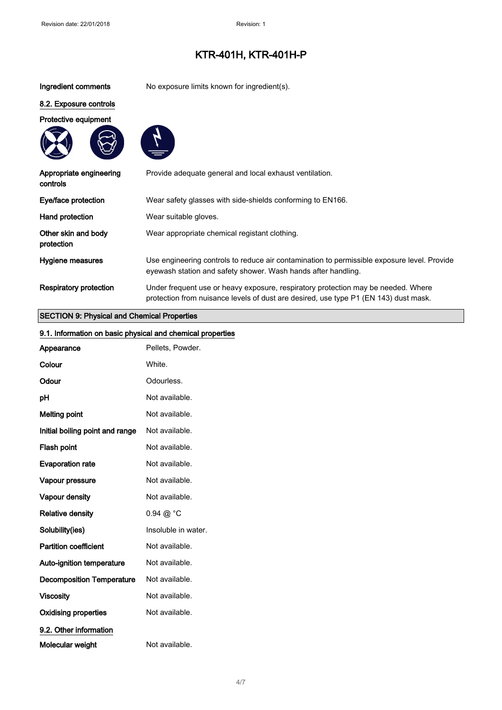Ingredient comments No exposure limits known for ingredient(s).

### 8.2. Exposure controls

Protective equipment





| Appropriate engineering<br>controls | Provide adequate general and local exhaust ventilation.                                                                                                                   |
|-------------------------------------|---------------------------------------------------------------------------------------------------------------------------------------------------------------------------|
| Eye/face protection                 | Wear safety glasses with side-shields conforming to EN166.                                                                                                                |
| Hand protection                     | Wear suitable gloves.                                                                                                                                                     |
| Other skin and body<br>protection   | Wear appropriate chemical registant clothing.                                                                                                                             |
| Hygiene measures                    | Use engineering controls to reduce air contamination to permissible exposure level. Provide<br>eyewash station and safety shower. Wash hands after handling.              |
| <b>Respiratory protection</b>       | Under frequent use or heavy exposure, respiratory protection may be needed. Where<br>protection from nuisance levels of dust are desired, use type P1 (EN 143) dust mask. |

### SECTION 9: Physical and Chemical Properties

| 9.1. Information on basic physical and chemical properties |                      |
|------------------------------------------------------------|----------------------|
| Appearance                                                 | Pellets, Powder.     |
| Colour                                                     | White.               |
| Odour                                                      | Odourless.           |
| pH                                                         | Not available.       |
| <b>Melting point</b>                                       | Not available.       |
| Initial boiling point and range                            | Not available.       |
| Flash point                                                | Not available.       |
| <b>Evaporation rate</b>                                    | Not available.       |
| Vapour pressure                                            | Not available.       |
| Vapour density                                             | Not available.       |
| <b>Relative density</b>                                    | $0.94 \ @ ^{\circ}C$ |
| Solubility(ies)                                            | Insoluble in water.  |
| <b>Partition coefficient</b>                               | Not available.       |
| Auto-ignition temperature                                  | Not available.       |
| <b>Decomposition Temperature</b>                           | Not available.       |
| <b>Viscosity</b>                                           | Not available.       |
| <b>Oxidising properties</b>                                | Not available.       |
| 9.2. Other information                                     |                      |
| Molecular weight                                           | Not available.       |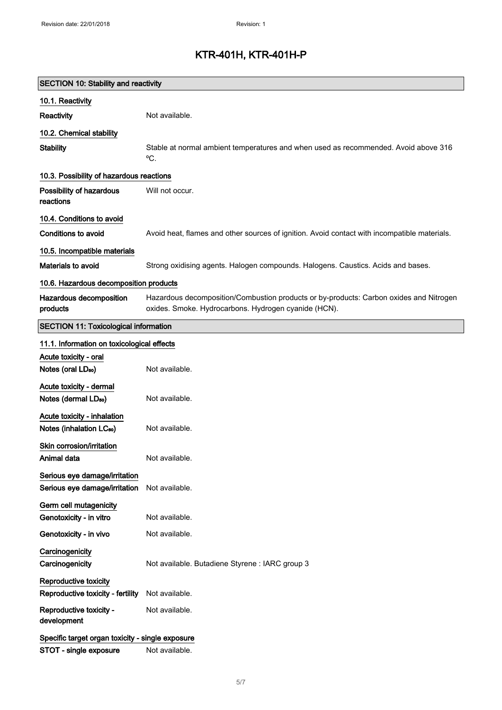| <b>SECTION 10: Stability and reactivity</b>                         |                                                                                                                                                |  |  |
|---------------------------------------------------------------------|------------------------------------------------------------------------------------------------------------------------------------------------|--|--|
| 10.1. Reactivity                                                    |                                                                                                                                                |  |  |
| Reactivity                                                          | Not available.                                                                                                                                 |  |  |
| 10.2. Chemical stability                                            |                                                                                                                                                |  |  |
| <b>Stability</b>                                                    | Stable at normal ambient temperatures and when used as recommended. Avoid above 316<br>°C.                                                     |  |  |
| 10.3. Possibility of hazardous reactions                            |                                                                                                                                                |  |  |
| Possibility of hazardous<br>reactions                               | Will not occur.                                                                                                                                |  |  |
| 10.4. Conditions to avoid                                           |                                                                                                                                                |  |  |
| Conditions to avoid                                                 | Avoid heat, flames and other sources of ignition. Avoid contact with incompatible materials.                                                   |  |  |
| 10.5. Incompatible materials                                        |                                                                                                                                                |  |  |
| Materials to avoid                                                  | Strong oxidising agents. Halogen compounds. Halogens. Caustics. Acids and bases.                                                               |  |  |
| 10.6. Hazardous decomposition products                              |                                                                                                                                                |  |  |
| Hazardous decomposition<br>products                                 | Hazardous decomposition/Combustion products or by-products: Carbon oxides and Nitrogen<br>oxides. Smoke. Hydrocarbons. Hydrogen cyanide (HCN). |  |  |
| <b>SECTION 11: Toxicological information</b>                        |                                                                                                                                                |  |  |
| 11.1. Information on toxicological effects                          |                                                                                                                                                |  |  |
| Acute toxicity - oral                                               |                                                                                                                                                |  |  |
| Notes (oral LD <sub>50</sub> )                                      | Not available.                                                                                                                                 |  |  |
| Acute toxicity - dermal<br>Notes (dermal LD <sub>50</sub> )         | Not available.                                                                                                                                 |  |  |
| Acute toxicity - inhalation<br>Notes (inhalation LC <sub>50</sub> ) | Not available.                                                                                                                                 |  |  |
| Skin corrosion/irritation<br>Animal data                            | Not available.                                                                                                                                 |  |  |
| Serious eye damage/irritation<br>Serious eye damage/irritation      | Not available.                                                                                                                                 |  |  |
| Germ cell mutagenicity                                              |                                                                                                                                                |  |  |
| Genotoxicity - in vitro                                             | Not available.                                                                                                                                 |  |  |
| Genotoxicity - in vivo                                              | Not available.                                                                                                                                 |  |  |
| Carcinogenicity<br>Carcinogenicity                                  | Not available. Butadiene Styrene : IARC group 3                                                                                                |  |  |
| Reproductive toxicity<br>Reproductive toxicity - fertility          | Not available.                                                                                                                                 |  |  |
| Reproductive toxicity -<br>development                              | Not available.                                                                                                                                 |  |  |
| Specific target organ toxicity - single exposure                    |                                                                                                                                                |  |  |
| STOT - single exposure                                              | Not available.                                                                                                                                 |  |  |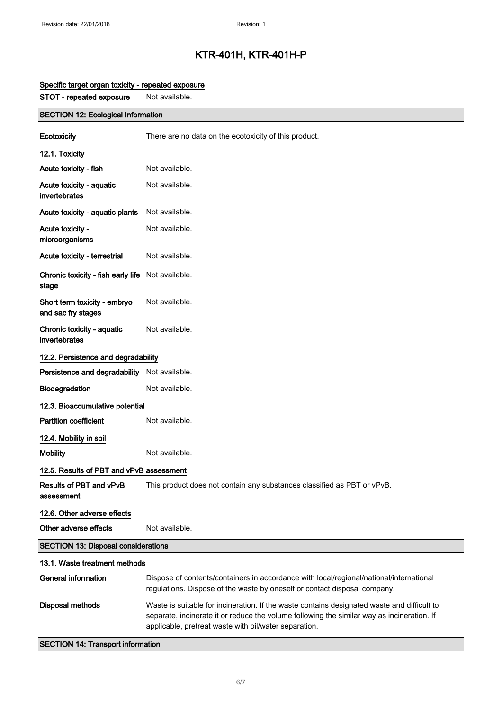| STOT - repeated exposure                           | Not available.                                                                                                                                                                                                                                     |  |  |
|----------------------------------------------------|----------------------------------------------------------------------------------------------------------------------------------------------------------------------------------------------------------------------------------------------------|--|--|
| <b>SECTION 12: Ecological Information</b>          |                                                                                                                                                                                                                                                    |  |  |
| Ecotoxicity                                        | There are no data on the ecotoxicity of this product.                                                                                                                                                                                              |  |  |
| 12.1. Toxicity                                     |                                                                                                                                                                                                                                                    |  |  |
| Acute toxicity - fish                              | Not available.                                                                                                                                                                                                                                     |  |  |
| Acute toxicity - aquatic<br>invertebrates          | Not available.                                                                                                                                                                                                                                     |  |  |
| Acute toxicity - aquatic plants                    | Not available.                                                                                                                                                                                                                                     |  |  |
| Acute toxicity -<br>microorganisms                 | Not available.                                                                                                                                                                                                                                     |  |  |
| Acute toxicity - terrestrial                       | Not available.                                                                                                                                                                                                                                     |  |  |
| Chronic toxicity - fish early life<br>stage        | Not available.                                                                                                                                                                                                                                     |  |  |
| Short term toxicity - embryo<br>and sac fry stages | Not available.                                                                                                                                                                                                                                     |  |  |
| Chronic toxicity - aquatic<br>invertebrates        | Not available.                                                                                                                                                                                                                                     |  |  |
| 12.2. Persistence and degradability                |                                                                                                                                                                                                                                                    |  |  |
| Persistence and degradability Not available.       |                                                                                                                                                                                                                                                    |  |  |
| Biodegradation                                     | Not available.                                                                                                                                                                                                                                     |  |  |
| 12.3. Bioaccumulative potential                    |                                                                                                                                                                                                                                                    |  |  |
| <b>Partition coefficient</b>                       | Not available.                                                                                                                                                                                                                                     |  |  |
| 12.4. Mobility in soil                             |                                                                                                                                                                                                                                                    |  |  |
| <b>Mobility</b>                                    | Not available.                                                                                                                                                                                                                                     |  |  |
| 12.5. Results of PBT and vPvB assessment           |                                                                                                                                                                                                                                                    |  |  |
| Results of PBT and vPvB<br>assessment              | This product does not contain any substances classified as PBT or vPvB.                                                                                                                                                                            |  |  |
| 12.6. Other adverse effects                        |                                                                                                                                                                                                                                                    |  |  |
| Other adverse effects                              | Not available.                                                                                                                                                                                                                                     |  |  |
| <b>SECTION 13: Disposal considerations</b>         |                                                                                                                                                                                                                                                    |  |  |
| 13.1. Waste treatment methods                      |                                                                                                                                                                                                                                                    |  |  |
| <b>General information</b>                         | Dispose of contents/containers in accordance with local/regional/national/international<br>regulations. Dispose of the waste by oneself or contact disposal company.                                                                               |  |  |
| <b>Disposal methods</b>                            | Waste is suitable for incineration. If the waste contains designated waste and difficult to<br>separate, incinerate it or reduce the volume following the similar way as incineration. If<br>applicable, pretreat waste with oil/water separation. |  |  |

### Specific target organ toxicity - repeated exposure

SECTION 14: Transport information